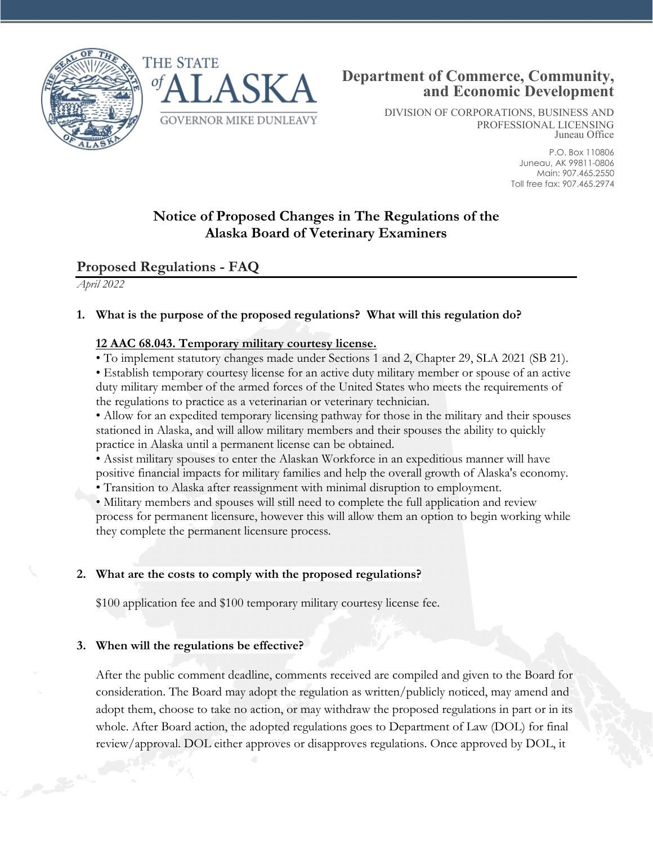



DIVISION OF CORPORATIONS, BUSINESS AND PROFESSIONAL LICENSING Juneau Office

> P.O. Box 110806 Juneau, AK 99811-0806 Main: 907.465.2550 Toll free fax: 907.465.2974

# **Notice of Proposed Changes in The Regulations of the Alaska Board of Veterinary Examiners**

## **Proposed Regulations - FAQ**

*April 2022*

### **1. What is the purpose of the proposed regulations? What will this regulation do?**

#### **12 AAC 68.043. Temporary military courtesy license.**

• To implement statutory changes made under Sections 1 and 2, Chapter 29, SLA 2021 (SB 21).

• Establish temporary courtesy license for an active duty military member or spouse of an active duty military member of the armed forces of the United States who meets the requirements of the regulations to practice as a veterinarian or veterinary technician.

• Allow for an expedited temporary licensing pathway for those in the military and their spouses stationed in Alaska, and will allow military members and their spouses the ability to quickly practice in Alaska until a permanent license can be obtained.

• Assist military spouses to enter the Alaskan Workforce in an expeditious manner will have positive financial impacts for military families and help the overall growth of Alaska's economy.

• Transition to Alaska after reassignment with minimal disruption to employment.

• Military members and spouses will still need to complete the full application and review process for permanent licensure, however this will allow them an option to begin working while they complete the permanent licensure process.

#### **2. What are the costs to comply with the proposed regulations?**

\$100 application fee and \$100 temporary military courtesy license fee.

#### **3. When will the regulations be effective?**

After the public comment deadline, comments received are compiled and given to the Board for consideration. The Board may adopt the regulation as written/publicly noticed, may amend and adopt them, choose to take no action, or may withdraw the proposed regulations in part or in its whole. After Board action, the adopted regulations goes to Department of Law (DOL) for final review/approval. DOL either approves or disapproves regulations. Once approved by DOL, it